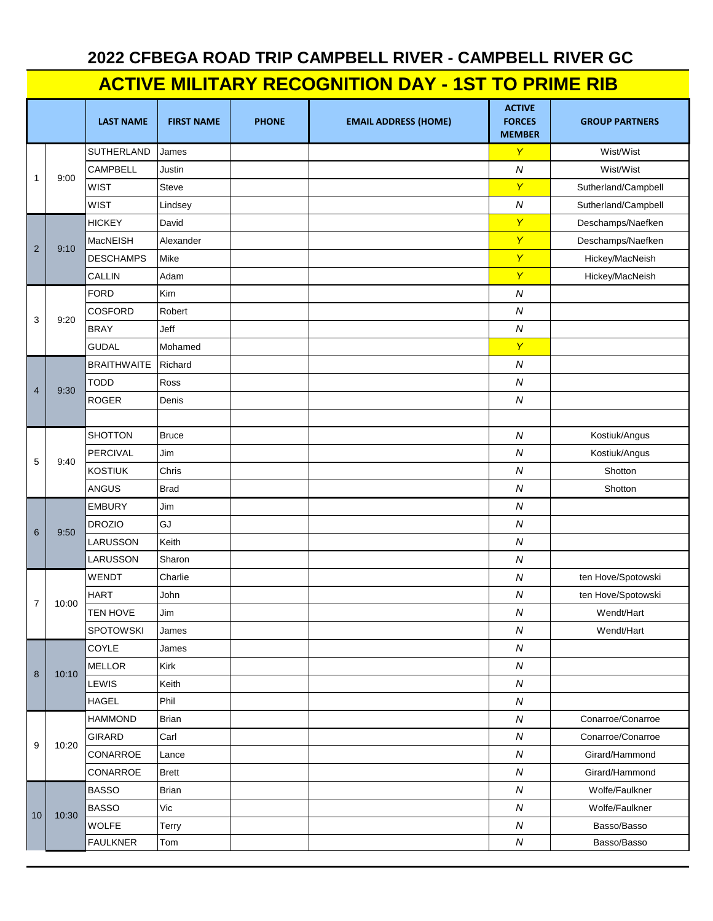## **2022 CFBEGA ROAD TRIP CAMPBELL RIVER - CAMPBELL RIVER GC**

## **ACTIVE MILITARY RECOGNITION DAY - 1ST TO PRIME RIB**

|                |       | <b>LAST NAME</b>   | <b>FIRST NAME</b> | <b>PHONE</b> | <b>EMAIL ADDRESS (HOME)</b> | <b>ACTIVE</b><br><b>FORCES</b><br><b>MEMBER</b> | <b>GROUP PARTNERS</b> |
|----------------|-------|--------------------|-------------------|--------------|-----------------------------|-------------------------------------------------|-----------------------|
| $\mathbf{1}$   | 9:00  | <b>SUTHERLAND</b>  | James             |              |                             | $\mathsf{Y}$                                    | Wist/Wist             |
|                |       | <b>CAMPBELL</b>    | Justin            |              |                             | $\boldsymbol{N}$                                | Wist/Wist             |
|                |       | <b>WIST</b>        | Steve             |              |                             | $\mathsf{Y}$                                    | Sutherland/Campbell   |
|                |       | <b>WIST</b>        | Lindsey           |              |                             | $\boldsymbol{N}$                                | Sutherland/Campbell   |
|                | 9:10  | <b>HICKEY</b>      | David             |              |                             | $\mathsf{Y}$                                    | Deschamps/Naefken     |
| $\overline{2}$ |       | MacNEISH           | Alexander         |              |                             | Y                                               | Deschamps/Naefken     |
|                |       | <b>DESCHAMPS</b>   | Mike              |              |                             | $\overline{Y}$                                  | Hickey/MacNeish       |
|                |       | <b>CALLIN</b>      | Adam              |              |                             | $\overline{Y}$                                  | Hickey/MacNeish       |
| 3              | 9:20  | <b>FORD</b>        | Kim               |              |                             | $\boldsymbol{N}$                                |                       |
|                |       | <b>COSFORD</b>     | Robert            |              |                             | $\boldsymbol{N}$                                |                       |
|                |       | <b>BRAY</b>        | Jeff              |              |                             | $\boldsymbol{N}$                                |                       |
|                |       | <b>GUDAL</b>       | Mohamed           |              |                             | $\mathsf{Y}$                                    |                       |
|                |       | <b>BRAITHWAITE</b> | Richard           |              |                             | $\boldsymbol{N}$                                |                       |
| $\overline{4}$ |       | <b>TODD</b>        | Ross              |              |                             | ${\cal N}$                                      |                       |
|                | 9:30  | ROGER              | Denis             |              |                             | $\overline{N}$                                  |                       |
|                |       |                    |                   |              |                             |                                                 |                       |
|                |       | <b>SHOTTON</b>     | <b>Bruce</b>      |              |                             | $\boldsymbol{N}$                                | Kostiuk/Angus         |
| 5              | 9:40  | PERCIVAL           | Jim               |              |                             | $\boldsymbol{N}$                                | Kostiuk/Angus         |
|                |       | <b>KOSTIUK</b>     | Chris             |              |                             | $\boldsymbol{N}$                                | Shotton               |
|                |       | <b>ANGUS</b>       | <b>Brad</b>       |              |                             | $\boldsymbol{N}$                                | Shotton               |
|                |       | <b>EMBURY</b>      | Jim               |              |                             | $\boldsymbol{N}$                                |                       |
| 6              | 9:50  | <b>DROZIO</b>      | GJ                |              |                             | $\boldsymbol{N}$                                |                       |
|                |       | LARUSSON           | Keith             |              |                             | $\boldsymbol{N}$                                |                       |
|                |       | LARUSSON           | Sharon            |              |                             | $\boldsymbol{N}$                                |                       |
|                |       | <b>WENDT</b>       | Charlie           |              |                             | $\boldsymbol{N}$                                | ten Hove/Spotowski    |
| $\overline{7}$ |       | <b>HART</b>        | John              |              |                             | ${\cal N}$                                      | ten Hove/Spotowski    |
|                | 10:00 | <b>TEN HOVE</b>    | Jim               |              |                             | $\boldsymbol{N}$                                | Wendt/Hart            |
|                |       | <b>SPOTOWSKI</b>   | James             |              |                             | $\boldsymbol{N}$                                | Wendt/Hart            |
|                | 10:10 | COYLE              | James             |              |                             | ${\cal N}$                                      |                       |
| 8              |       | <b>MELLOR</b>      | Kirk              |              |                             | ${\cal N}$                                      |                       |
|                |       | LEWIS              | Keith             |              |                             | ${\cal N}$                                      |                       |
|                |       | <b>HAGEL</b>       | Phil              |              |                             | ${\cal N}$                                      |                       |
|                | 10:20 | <b>HAMMOND</b>     | Brian             |              |                             | ${\cal N}$                                      | Conarroe/Conarroe     |
| 9              |       | <b>GIRARD</b>      | Carl              |              |                             | ${\cal N}$                                      | Conarroe/Conarroe     |
|                |       | CONARROE           | Lance             |              |                             | ${\cal N}$                                      | Girard/Hammond        |
|                |       | CONARROE           | <b>Brett</b>      |              |                             | ${\cal N}$                                      | Girard/Hammond        |
|                | 10:30 | <b>BASSO</b>       | Brian             |              |                             | ${\cal N}$                                      | Wolfe/Faulkner        |
| 10             |       | <b>BASSO</b>       | Vic               |              |                             | ${\cal N}$                                      | Wolfe/Faulkner        |
|                |       | <b>WOLFE</b>       | Terry             |              |                             | ${\cal N}$                                      | Basso/Basso           |
|                |       | <b>FAULKNER</b>    | Tom               |              |                             | ${\cal N}$                                      | Basso/Basso           |